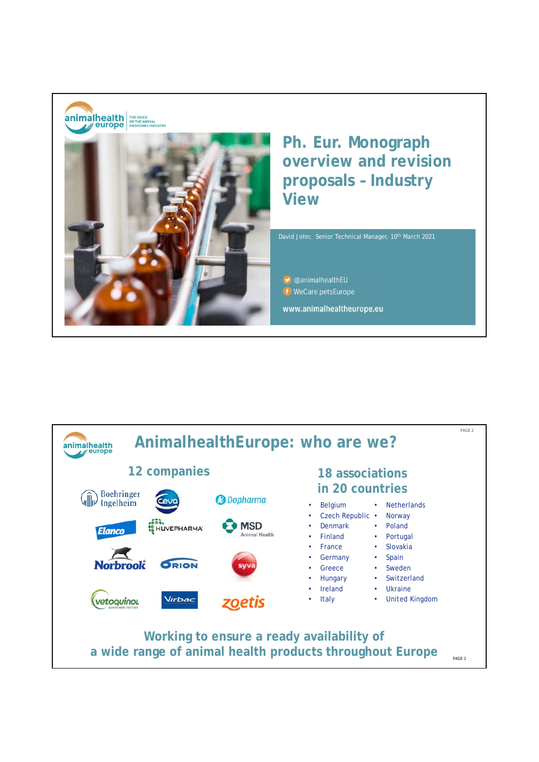

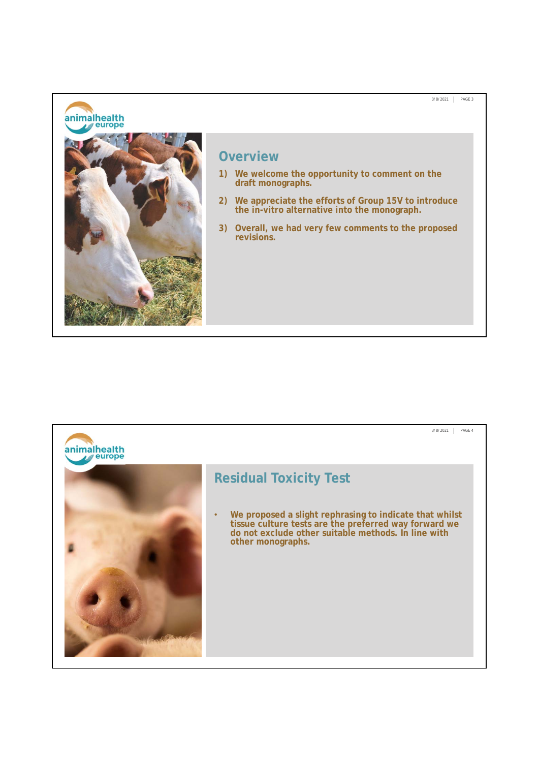## animalhealth



## **Overview**

- **1) We welcome the opportunity to comment on the draft monographs.**
- **2) We appreciate the efforts of Group 15V to introduce the in-vitro alternative into the monograph.**

3/8/2021 PAGE 3

**3) Overall, we had very few comments to the proposed revisions.**

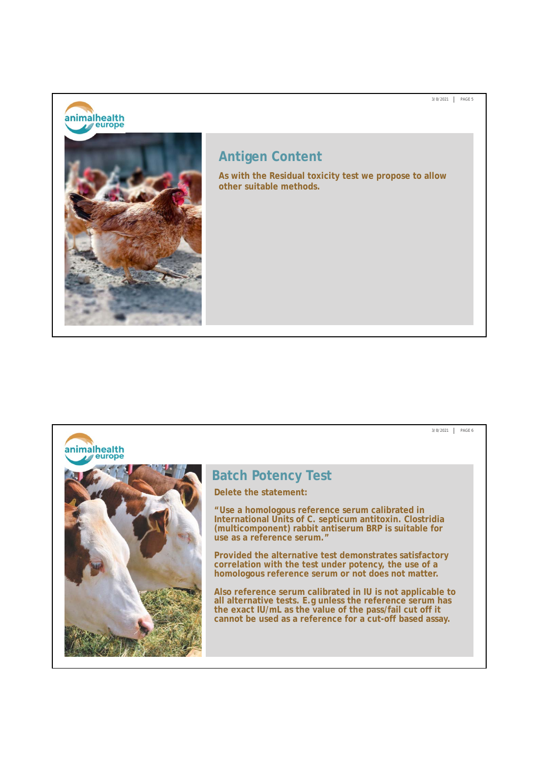animalhealth



## **Antigen Content**

**As with the Residual toxicity test we propose to allow other suitable methods.**

3/8/2021 PAGE 5

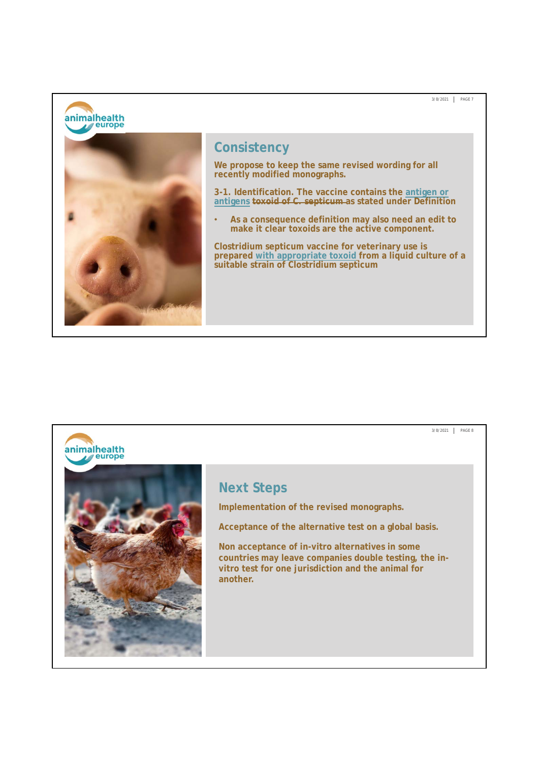animalhealth



## **Consistency**

**We propose to keep the same revised wording for all recently modified monographs.**

**3-1. Identification. The vaccine contains the antigen or antigens toxoid of C. septicum as stated under Definition**

3/8/2021 PAGE 7

• **As a consequence definition may also need an edit to make it clear toxoids are the active component.**

**Clostridium septicum vaccine for veterinary use is prepared with appropriate toxoid from a liquid culture of a suitable strain of Clostridium septicum**